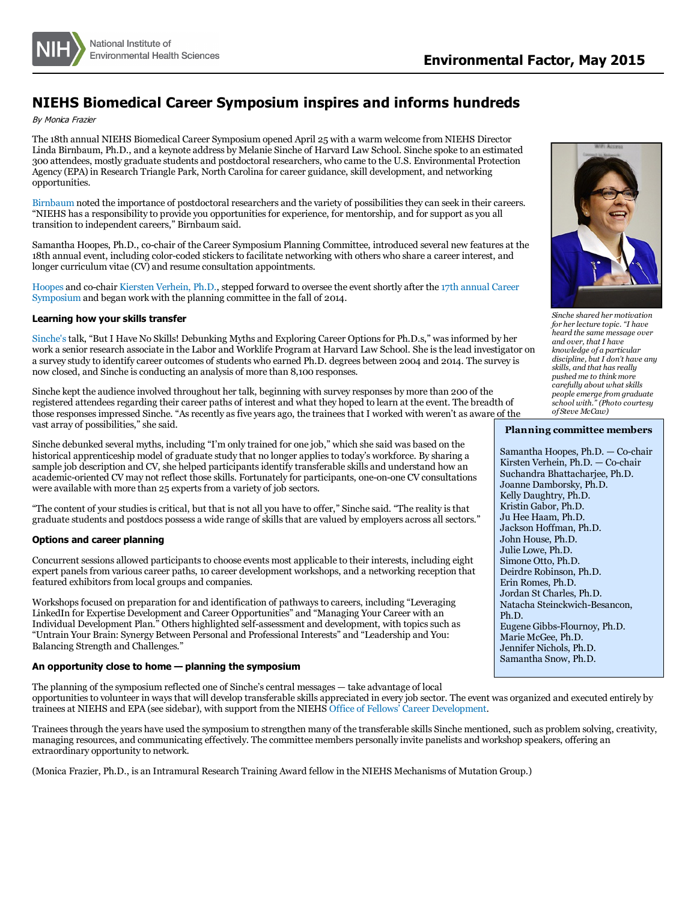

# **NIEHS Biomedical Career Symposium inspires and informs hundreds**

By Monica Frazier

The 18th annual NIEHS Biomedical Career Symposium opened April 25 with a warm welcome from NIEHS Director Linda Birnbaum, Ph.D., and a keynote address by Melanie Sinche of Harvard Law School. Sinche spoke to an estimated 300 attendees, mostly graduate students and postdoctoral researchers, who came to the U.S. Environmental Protection Agency (EPA) in Research Triangle Park, North Carolina for career guidance, skill development, and networking opportunities.

[Birnbaum](http://niehs.nih.gov/about/od/director/index.cfm) noted the importance of postdoctoral researchers and the variety of possibilities they can seek in their careers. "NIEHS has a responsibility to provide you opportunitiesfor experience, for mentorship, and for support as you all transition to independent careers," Birnbaum said.

Samantha Hoopes, Ph.D., co-chair of the Career Symposium Planning Committee, introduced several new features at the 18th annual event, including color-coded stickersto facilitate networking with others who share a career interest, and longer curriculum vitae (CV) and resume consultation appointments.

[Hoopes](http://niehs.nih.gov/research/atniehs/labs/iidl/pi/enviro-cardio/staff/index.cfm) and co-chair Kiersten [Verhein,](http://niehs.nih.gov/research/atniehs/labs/iidl/pi/enviro-gen/staff/index.cfm) Ph.D., stepped forward to oversee the event shortly after the 17th annual Career [Symposium](http://niehs.nih.gov/news/newsletter/2014/6/spotlight-careerfair/index.htm) and began work with the planning committee in the fall of 2014.

## **Learning how your skills transfer**

[Sinche's](http://www.law.harvard.edu/programs/lwp/people/staffBios/LWPstaff_Melanie_Sinche.html) talk, "But I Have No Skills! Debunking Myths and Exploring Career Options for Ph.D.s," was informed by her<br>work a senior research associate in the Labor and Worklife Program at Harvard Law School. She is the lead a survey study to identify career outcomes of students who earned Ph.D. degrees between 2004 and 2014. The survey is now closed, and Sinche is conducting an analysis of more than 8,100 responses.

Sinche kept the audience involved throughout her talk, beginning with survey responses by more than 200 of the registered attendees regarding their career paths of interest and what they hoped to learn at the event. The breadth of those responses impressed Sinche. "As recently as five years ago, the trainees that I worked with weren't as aware of the vast array of possibilities," she said.

Sinche debunked several myths, including "I'm only trained for one job," which she said was based on the historical apprenticeship model of graduate study that no longer appliesto today's workforce. By sharing a sample job description and CV, she helped participantsidentify transferable skills and understand how an academic-oriented CV may not reflect those skills. Fortunately for participants, one-on-one CV consultations were available with more than <sup>25</sup> expertsfrom <sup>a</sup> variety of job sectors.

"The content of your studiesiscritical, but that is not all you have to offer," Sinche said. "The reality isthat graduate students and postdocs possess a wide range of skillsthat are valued by employers across all sectors."

#### **Options and career planning**

Concurrent sessions allowed participants to choose events most applicable to their interests, including eight expert panels from various career paths, 10 career development workshops, and a networking reception that featured exhibitors from local groups and companies.

Workshops focused on preparation for and identification of pathways to careers, including "Leveraging LinkedIn for Expertise Development and Career Opportunities" and "Managing Your Career with an Individual Development Plan." Others highlighted self-assessment and development, with topics such as "Untrain Your Brain: Synergy Between Personal and Professional Interests" and "Leadership and You: Balancing Strength and Challenges."

#### **An opportunity close to home — planning the symposium**

The planning of the symposium reflected one of Sinche's central messages - take advantage of local opportunitiesto volunteer in waysthat will develop transferable skills appreciated in every job sector. The event was organized and executed entirely by trainees at NIEHS and EPA (see sidebar), with support from the NIEHS Office of Fellows' Career [Development](http://niehs.nih.gov/careers/research/fellows/index.cfm).

Traineesthrough the years have used the symposium to strengthen many of the transferable skills Sinche mentioned, such as problem solving, creativity, managing resources, and communicating effectively. The committee members personally invite panelists and workshop speakers, offering an extraordinary opportunity to network.

(Monica Frazier, Ph.D., is an Intramural Research Training Award fellow in the NIEHS Mechanisms of Mutation Group.)



*Sinche shared her motivation for her lecture topic. "I have heard the same message over and over, that I have knowledge of a particular discipline, but I don't have any skills, and that has really pushed me to think more carefully about what skills people emerge from graduate school with." (Photo courtesy of Steve McCaw)*

### **Planning committee members**

Samantha Hoopes, Ph.D. — Co-chair Kirsten Verhein, Ph.D. — Co-chair Suchandra Bhattacharjee, Ph.D. Joanne Damborsky, Ph.D. Kelly Daughtry, Ph.D. Kristin Gabor, Ph.D. Ju Hee Haam, Ph.D. Jackson Hoffman, Ph.D. John House, Ph.D. Julie Lowe, Ph.D. Deirdre Robinson, Ph.D. Erin Romes, Ph.D. Natacha Steinckwich-Besancon, Ph.D. Eugene Gibbs-Flournoy, Ph.D. Marie McGee, Ph.D. Jennifer Nichols, Ph.D. Samantha Snow, Ph.D.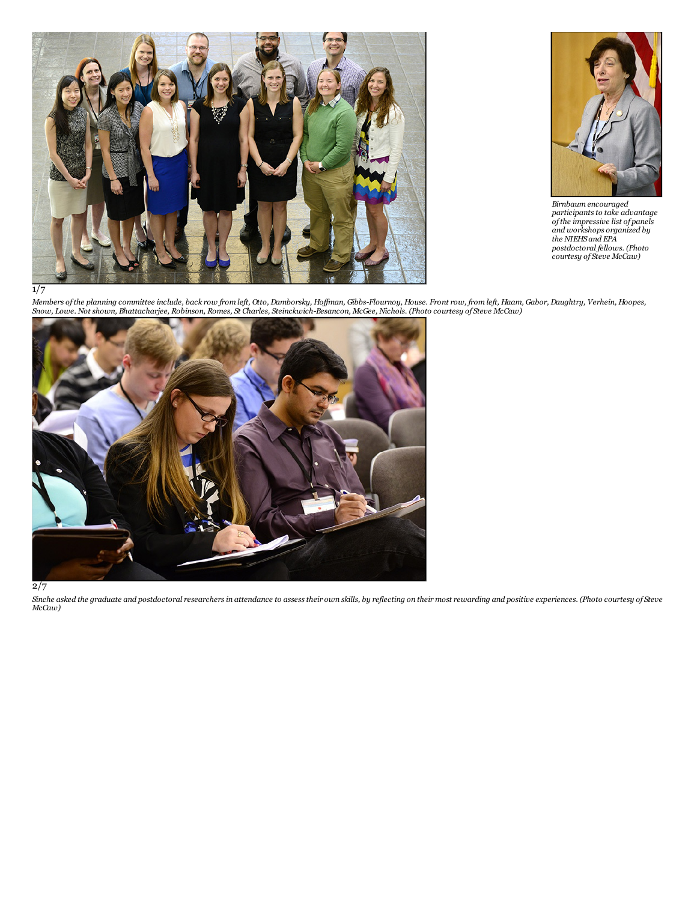



*Birnbaum encouraged* participants to take advantage<br>of the impressive list of panels<br>and workshops organized by<br>the NIEHS and EPA<br>postdoctoral fellows. (Photo<br>courtesy of Steve McCaw)

 $\overline{1/7}$ 

Members of the planning committee include, back row from left, Otto, Damborsky, Hoffman, Gibbs-Flournoy, House. Front row, from left, Haam, Gabor, Daughtry, Verhein, Hoopes,<br>Snow, Lowe. Not shown, Bhattacharjee, Robinson,



2/7

Sinche asked the graduate and postdoctoral researchers in attendance to assess their own skills, by reflecting on their most rewarding and positive experiences. (Photo courtesy of Steve<br>McCaw)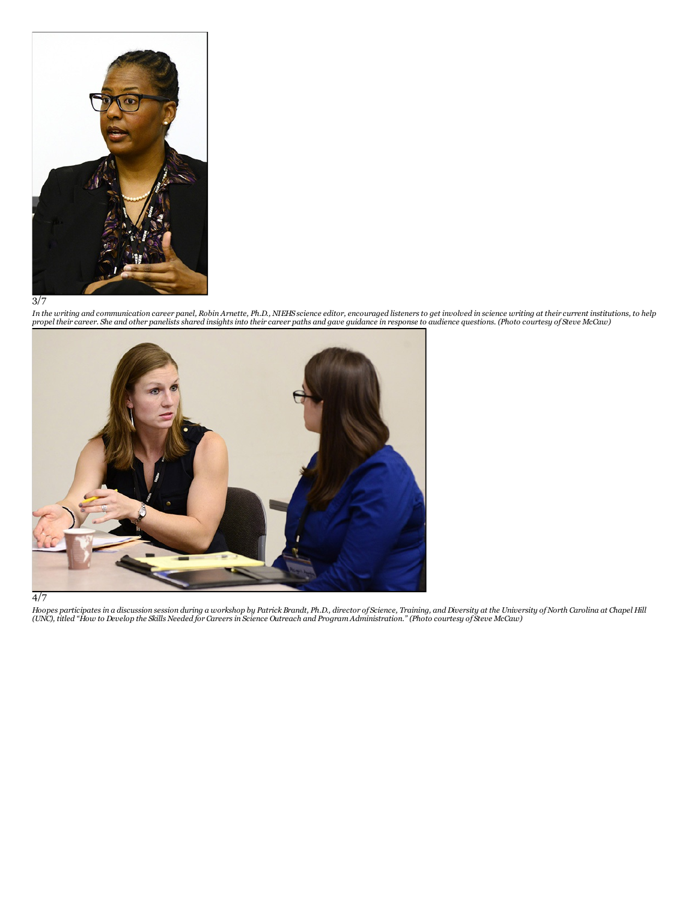

3/7

In the writing and communication career panel, Robin Arnette, Ph.D., NIEHS science editor, encouraged listeners to get involved in science writing at their current institutions, to help<br>propel their career. She and other p





Hoopes participates in a discussion session during a workshop by Patrick Brandt, Ph.D., director of Science, Training, and Diversity at the University of North Carolina at Chapel Hill<br>(UNC), titled "How to Develop the Skil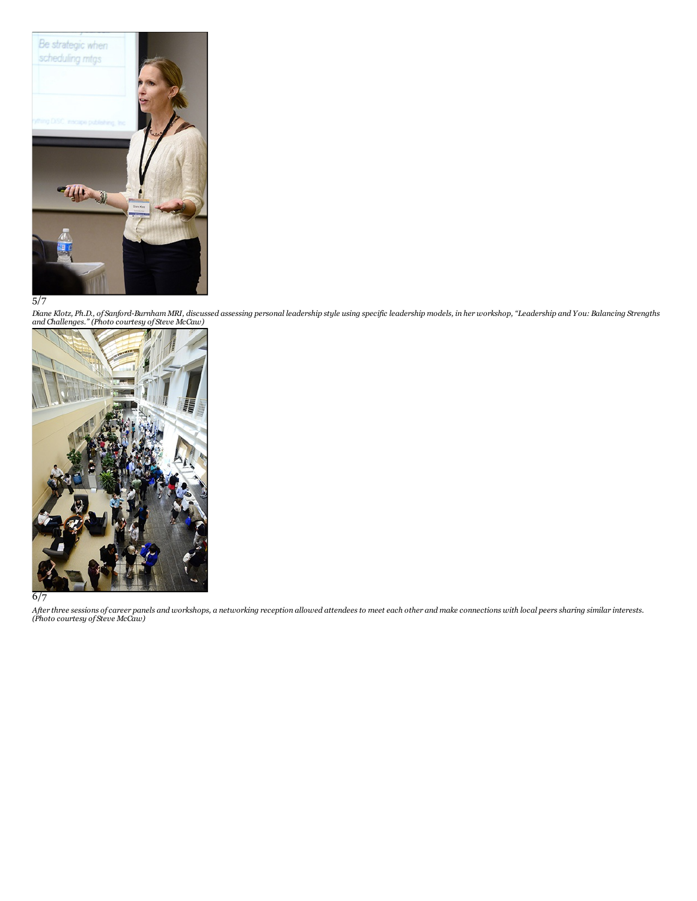

# 5/7

Diane Klotz, Ph.D., of Sanford-Burnham MRI, discussed assessing personal leadership style using specific leadership models, in her workshop, "Leadership and You: Balancing Strengths<br>and Challenges." (Photo courtesy of Stev



6/7

After three sessions of career panels and workshops, a networking reception allowed attendees to meet each other and make connections with local peers sharing similar interests.<br>(Photo courtesy of Steve McCaw)